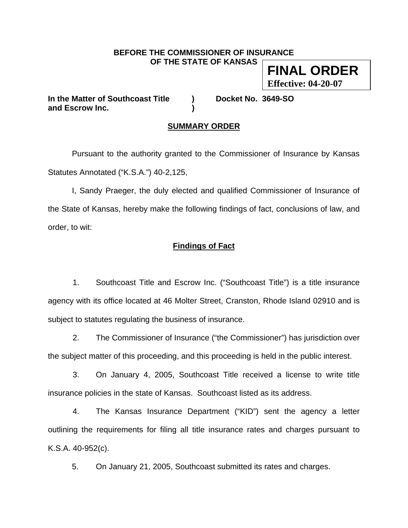# **BEFORE THE COMMISSIONER OF INSURANCE**

**OF THE STATE OF KANSAS** 

**FINAL ORDER Effective: 04-20-07**

**In the Matter of Southcoast Title ) Docket No. 3649-SO and Escrow Inc. )** 

## **SUMMARY ORDER**

 Pursuant to the authority granted to the Commissioner of Insurance by Kansas Statutes Annotated ("K.S.A.") 40-2,125,

 I, Sandy Praeger, the duly elected and qualified Commissioner of Insurance of the State of Kansas, hereby make the following findings of fact, conclusions of law, and order, to wit:

## **Findings of Fact**

1. Southcoast Title and Escrow Inc. ("Southcoast Title") is a title insurance agency with its office located at 46 Molter Street, Cranston, Rhode Island 02910 and is subject to statutes regulating the business of insurance.

2. The Commissioner of Insurance ("the Commissioner") has jurisdiction over the subject matter of this proceeding, and this proceeding is held in the public interest.

 3. On January 4, 2005, Southcoast Title received a license to write title insurance policies in the state of Kansas. Southcoast listed as its address.

 4. The Kansas Insurance Department ("KID") sent the agency a letter outlining the requirements for filing all title insurance rates and charges pursuant to K.S.A. 40-952(c).

5. On January 21, 2005, Southcoast submitted its rates and charges.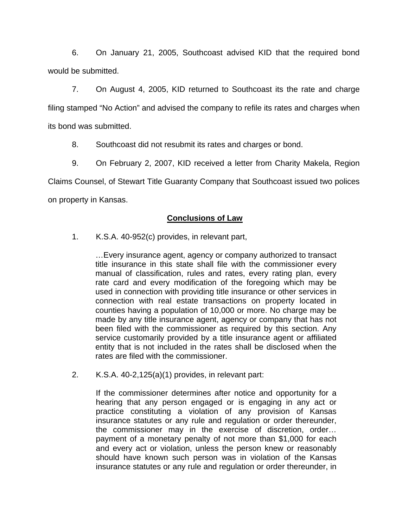6. On January 21, 2005, Southcoast advised KID that the required bond would be submitted.

 7. On August 4, 2005, KID returned to Southcoast its the rate and charge filing stamped "No Action" and advised the company to refile its rates and charges when its bond was submitted.

8. Southcoast did not resubmit its rates and charges or bond.

 9. On February 2, 2007, KID received a letter from Charity Makela, Region Claims Counsel, of Stewart Title Guaranty Company that Southcoast issued two polices on property in Kansas.

## **Conclusions of Law**

1. K.S.A. 40-952(c) provides, in relevant part,

…Every insurance agent, agency or company authorized to transact title insurance in this state shall file with the commissioner every manual of classification, rules and rates, every rating plan, every rate card and every modification of the foregoing which may be used in connection with providing title insurance or other services in connection with real estate transactions on property located in counties having a population of 10,000 or more. No charge may be made by any title insurance agent, agency or company that has not been filed with the commissioner as required by this section. Any service customarily provided by a title insurance agent or affiliated entity that is not included in the rates shall be disclosed when the rates are filed with the commissioner.

2. K.S.A. 40-2,125(a)(1) provides, in relevant part:

If the commissioner determines after notice and opportunity for a hearing that any person engaged or is engaging in any act or practice constituting a violation of any provision of Kansas insurance statutes or any rule and regulation or order thereunder, the commissioner may in the exercise of discretion, order… payment of a monetary penalty of not more than \$1,000 for each and every act or violation, unless the person knew or reasonably should have known such person was in violation of the Kansas insurance statutes or any rule and regulation or order thereunder, in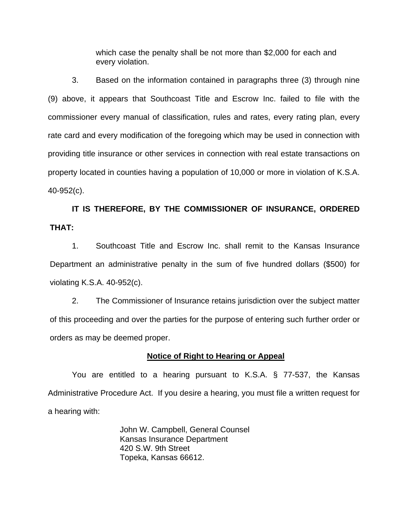which case the penalty shall be not more than \$2,000 for each and every violation.

3. Based on the information contained in paragraphs three (3) through nine (9) above, it appears that Southcoast Title and Escrow Inc. failed to file with the commissioner every manual of classification, rules and rates, every rating plan, every rate card and every modification of the foregoing which may be used in connection with providing title insurance or other services in connection with real estate transactions on property located in counties having a population of 10,000 or more in violation of K.S.A. 40-952(c).

## **IT IS THEREFORE, BY THE COMMISSIONER OF INSURANCE, ORDERED THAT:**

1. Southcoast Title and Escrow Inc. shall remit to the Kansas Insurance Department an administrative penalty in the sum of five hundred dollars (\$500) for violating K.S.A. 40-952(c).

 2. The Commissioner of Insurance retains jurisdiction over the subject matter of this proceeding and over the parties for the purpose of entering such further order or orders as may be deemed proper.

#### **Notice of Right to Hearing or Appeal**

You are entitled to a hearing pursuant to K.S.A. § 77-537, the Kansas Administrative Procedure Act. If you desire a hearing, you must file a written request for a hearing with:

> John W. Campbell, General Counsel Kansas Insurance Department 420 S.W. 9th Street Topeka, Kansas 66612.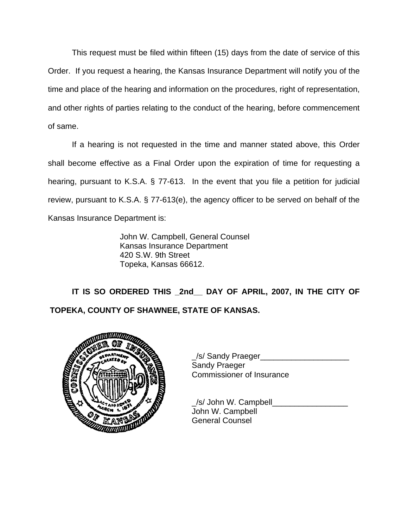This request must be filed within fifteen (15) days from the date of service of this Order. If you request a hearing, the Kansas Insurance Department will notify you of the time and place of the hearing and information on the procedures, right of representation, and other rights of parties relating to the conduct of the hearing, before commencement of same.

If a hearing is not requested in the time and manner stated above, this Order shall become effective as a Final Order upon the expiration of time for requesting a hearing, pursuant to K.S.A. § 77-613. In the event that you file a petition for judicial review, pursuant to K.S.A. § 77-613(e), the agency officer to be served on behalf of the Kansas Insurance Department is:

> John W. Campbell, General Counsel Kansas Insurance Department 420 S.W. 9th Street Topeka, Kansas 66612.

 **IT IS SO ORDERED THIS \_2nd\_\_ DAY OF APRIL, 2007, IN THE CITY OF TOPEKA, COUNTY OF SHAWNEE, STATE OF KANSAS.** 



/s/ Sandy Praeger Sandy Praeger Commissioner of Insurance

 \_/s/ John W. Campbell\_\_\_\_\_\_\_\_\_\_\_\_\_\_\_\_\_ John W. Campbell General Counsel